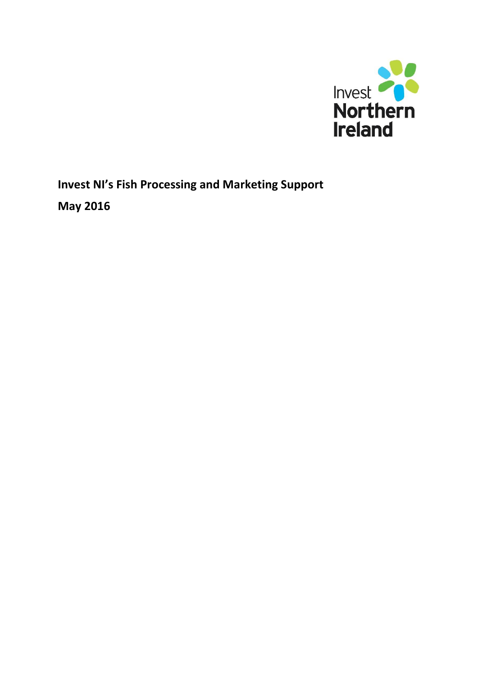

**Invest NI's Fish Processing and Marketing Support May 2016**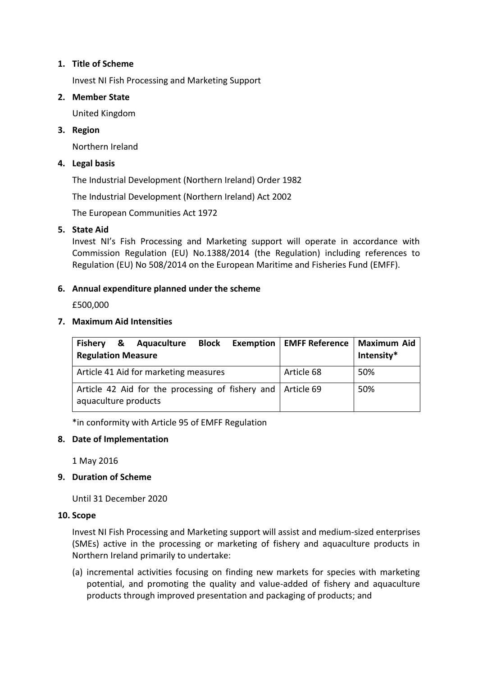# **1. Title of Scheme**

Invest NI Fish Processing and Marketing Support

# **2. Member State**

United Kingdom

# **3. Region**

Northern Ireland

# **4. Legal basis**

The Industrial Development (Northern Ireland) Order 1982

The Industrial Development (Northern Ireland) Act 2002

The European Communities Act 1972

# **5. State Aid**

Invest NI's Fish Processing and Marketing support will operate in accordance with Commission Regulation (EU) No.1388/2014 (the Regulation) including references to Regulation (EU) No 508/2014 on the European Maritime and Fisheries Fund (EMFF).

# **6. Annual expenditure planned under the scheme**

£500,000

# **7. Maximum Aid Intensities**

| Fishery &<br><b>Regulation Measure</b>                                                | Aquaculture |  |  | <b>Block</b> Exemption   EMFF Reference | Maximum Aid<br>Intensity* |
|---------------------------------------------------------------------------------------|-------------|--|--|-----------------------------------------|---------------------------|
| Article 41 Aid for marketing measures                                                 |             |  |  | Article 68                              | 50%                       |
| Article 42 Aid for the processing of fishery and   Article 69<br>aquaculture products |             |  |  |                                         | 50%                       |

\*in conformity with Article 95 of EMFF Regulation

### **8. Date of Implementation**

1 May 2016

### **9. Duration of Scheme**

Until 31 December 2020

### **10. Scope**

Invest NI Fish Processing and Marketing support will assist and medium-sized enterprises (SMEs) active in the processing or marketing of fishery and aquaculture products in Northern Ireland primarily to undertake:

(a) incremental activities focusing on finding new markets for species with marketing potential, and promoting the quality and value-added of fishery and aquaculture products through improved presentation and packaging of products; and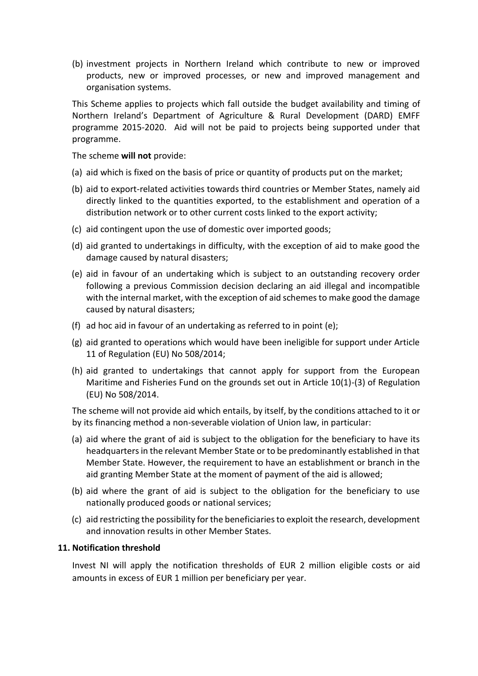(b) investment projects in Northern Ireland which contribute to new or improved products, new or improved processes, or new and improved management and organisation systems.

This Scheme applies to projects which fall outside the budget availability and timing of Northern Ireland's Department of Agriculture & Rural Development (DARD) EMFF programme 2015-2020. Aid will not be paid to projects being supported under that programme.

The scheme **will not** provide:

- (a) aid which is fixed on the basis of price or quantity of products put on the market;
- (b) aid to export-related activities towards third countries or Member States, namely aid directly linked to the quantities exported, to the establishment and operation of a distribution network or to other current costs linked to the export activity;
- (c) aid contingent upon the use of domestic over imported goods;
- (d) aid granted to undertakings in difficulty, with the exception of aid to make good the damage caused by natural disasters;
- (e) aid in favour of an undertaking which is subject to an outstanding recovery order following a previous Commission decision declaring an aid illegal and incompatible with the internal market, with the exception of aid schemes to make good the damage caused by natural disasters;
- (f) ad hoc aid in favour of an undertaking as referred to in point (e);
- (g) aid granted to operations which would have been ineligible for support under Article 11 of Regulation (EU) No 508/2014;
- (h) aid granted to undertakings that cannot apply for support from the European Maritime and Fisheries Fund on the grounds set out in Article 10(1)-(3) of Regulation (EU) No 508/2014.

The scheme will not provide aid which entails, by itself, by the conditions attached to it or by its financing method a non-severable violation of Union law, in particular:

- (a) aid where the grant of aid is subject to the obligation for the beneficiary to have its headquarters in the relevant Member State or to be predominantly established in that Member State. However, the requirement to have an establishment or branch in the aid granting Member State at the moment of payment of the aid is allowed;
- (b) aid where the grant of aid is subject to the obligation for the beneficiary to use nationally produced goods or national services;
- (c) aid restricting the possibility for the beneficiaries to exploit the research, development and innovation results in other Member States.

#### **11. Notification threshold**

Invest NI will apply the notification thresholds of EUR 2 million eligible costs or aid amounts in excess of EUR 1 million per beneficiary per year.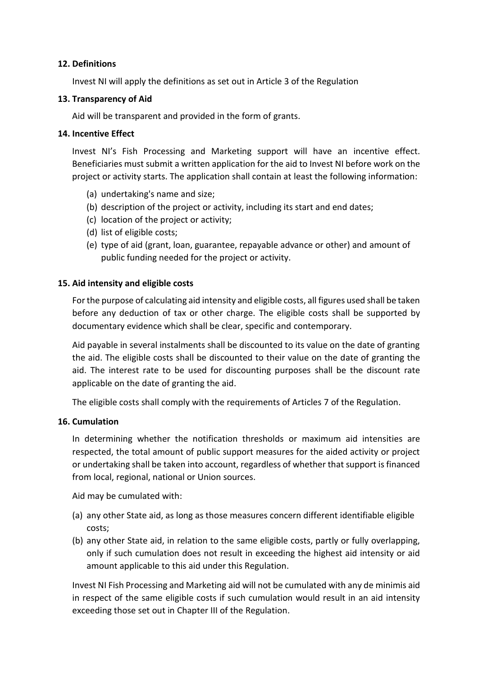# **12. Definitions**

Invest NI will apply the definitions as set out in Article 3 of the Regulation

# **13. Transparency of Aid**

Aid will be transparent and provided in the form of grants.

# **14. Incentive Effect**

Invest NI's Fish Processing and Marketing support will have an incentive effect. Beneficiaries must submit a written application for the aid to Invest NI before work on the project or activity starts. The application shall contain at least the following information:

- (a) undertaking's name and size;
- (b) description of the project or activity, including its start and end dates;
- (c) location of the project or activity;
- (d) list of eligible costs;
- (e) type of aid (grant, loan, guarantee, repayable advance or other) and amount of public funding needed for the project or activity.

# **15. Aid intensity and eligible costs**

For the purpose of calculating aid intensity and eligible costs, all figures used shall be taken before any deduction of tax or other charge. The eligible costs shall be supported by documentary evidence which shall be clear, specific and contemporary.

Aid payable in several instalments shall be discounted to its value on the date of granting the aid. The eligible costs shall be discounted to their value on the date of granting the aid. The interest rate to be used for discounting purposes shall be the discount rate applicable on the date of granting the aid.

The eligible costs shall comply with the requirements of Articles 7 of the Regulation.

### **16. Cumulation**

In determining whether the notification thresholds or maximum aid intensities are respected, the total amount of public support measures for the aided activity or project or undertaking shall be taken into account, regardless of whether that support is financed from local, regional, national or Union sources.

Aid may be cumulated with:

- (a) any other State aid, as long as those measures concern different identifiable eligible costs;
- (b) any other State aid, in relation to the same eligible costs, partly or fully overlapping, only if such cumulation does not result in exceeding the highest aid intensity or aid amount applicable to this aid under this Regulation.

Invest NI Fish Processing and Marketing aid will not be cumulated with any de minimis aid in respect of the same eligible costs if such cumulation would result in an aid intensity exceeding those set out in Chapter III of the Regulation.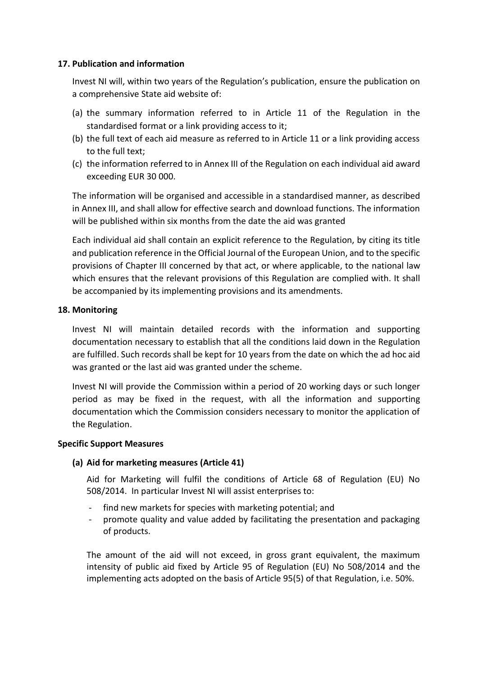# **17. Publication and information**

Invest NI will, within two years of the Regulation's publication, ensure the publication on a comprehensive State aid website of:

- (a) the summary information referred to in Article 11 of the Regulation in the standardised format or a link providing access to it;
- (b) the full text of each aid measure as referred to in Article 11 or a link providing access to the full text;
- (c) the information referred to in Annex III of the Regulation on each individual aid award exceeding EUR 30 000.

The information will be organised and accessible in a standardised manner, as described in Annex III, and shall allow for effective search and download functions. The information will be published within six months from the date the aid was granted

Each individual aid shall contain an explicit reference to the Regulation, by citing its title and publication reference in the Official Journal of the European Union, and to the specific provisions of Chapter III concerned by that act, or where applicable, to the national law which ensures that the relevant provisions of this Regulation are complied with. It shall be accompanied by its implementing provisions and its amendments.

# **18. Monitoring**

Invest NI will maintain detailed records with the information and supporting documentation necessary to establish that all the conditions laid down in the Regulation are fulfilled. Such records shall be kept for 10 years from the date on which the ad hoc aid was granted or the last aid was granted under the scheme.

Invest NI will provide the Commission within a period of 20 working days or such longer period as may be fixed in the request, with all the information and supporting documentation which the Commission considers necessary to monitor the application of the Regulation.

### **Specific Support Measures**

### **(a) Aid for marketing measures (Article 41)**

Aid for Marketing will fulfil the conditions of Article 68 of Regulation (EU) No 508/2014. In particular Invest NI will assist enterprises to:

- find new markets for species with marketing potential; and
- promote quality and value added by facilitating the presentation and packaging of products.

The amount of the aid will not exceed, in gross grant equivalent, the maximum intensity of public aid fixed by Article 95 of Regulation (EU) No 508/2014 and the implementing acts adopted on the basis of Article 95(5) of that Regulation, i.e. 50%.